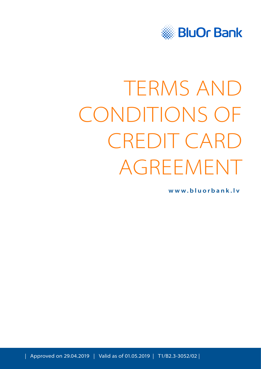

# TERMS AND CONDITIONS OF CREDIT CARD AGREEMENT

**[www.bluorbank.lv](https://www.bluorbank.lv/en/index)**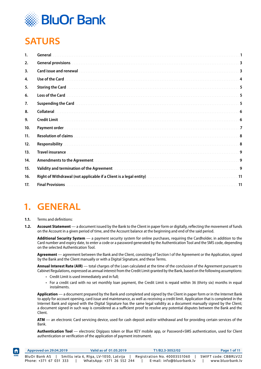

# <span id="page-1-0"></span>**SATURS**

| <b>General</b>                                                                                                                                                                                                                      |     |
|-------------------------------------------------------------------------------------------------------------------------------------------------------------------------------------------------------------------------------------|-----|
| <b>General provisions.</b>                                                                                                                                                                                                          |     |
| Card issue and renewal with a continuous contract to the contract of the contract of the contract of the contract of the contract of the contract of the contract of the contract of the contract of the contract of the contr      | 3   |
| Use of the Card                                                                                                                                                                                                                     | 4   |
| <b>Storing the Card</b>                                                                                                                                                                                                             | 5   |
| Loss of the Card                                                                                                                                                                                                                    | 5   |
| Suspending the Card <b>Example 2018</b> Support 2018 12:00 AM AND 100 AM AND 100 AM AND 100 AM AND 100 AM AND 100 AM A                                                                                                              | 5   |
|                                                                                                                                                                                                                                     | -6  |
| <b>Credit Limit</b>                                                                                                                                                                                                                 | -6  |
| Payment order.                                                                                                                                                                                                                      | -7  |
|                                                                                                                                                                                                                                     | -8  |
| Responsibility                                                                                                                                                                                                                      | 8   |
| <b>Travel insurance</b>                                                                                                                                                                                                             | 9   |
| <b>Amendments to the Agreement</b>                                                                                                                                                                                                  | 9   |
| Validity and termination of the Agreement <b>Material Construction Construction</b> and termination of the Agreement Material Construction and termination of the Agreement Material Construction of the Agreement Material Constru | 9   |
|                                                                                                                                                                                                                                     | .11 |
| <b>Final Provisions</b>                                                                                                                                                                                                             |     |
|                                                                                                                                                                                                                                     |     |

# **1. GENERAL**

#### **1.1.** Terms and definitions:

A

**1.2. Account Statement** — a document issued by the Bank to the Client in paper form or digitally, reflecting the movement of funds on the Account in a given period of time, and the Account balance at the beginning and end of the said period.

**Additional Security System** — a payment security system for online purchases, requiring the Cardholder, in addition to the Card number and expiry date, to enter a code or a password generated by the Authentication Tool and the SMS code, depending on the selected Authentication Tool.

**Agreement** — agreement between the Bank and the Client, consisting of Section I of the Agreement or the Application, signed by the Bank and the Client manually or with a Digital Signature, and these Terms.

**Annual Interest Rate (AIR)** — total charges of the Loan calculated at the time of the conclusion of the Agreement pursuant to Cabinet Regulations, expressed as annual interest from the Credit Limit granted by the Bank, based on the following assumptions:

- Credit Limit is used immediately and in full;
- For a credit card with no set monthly loan payment, the Credit Limit is repaid within 36 (thirty six) months in equal instalments.

**Application** — a document prepared by the Bank and completed and signed by the Client in paper form or in the Internet Bank to apply for account opening, card issue and maintenance, as well as receiving a credit limit. Application that is completed in the Internet Bank and signed with the Digital Signature has the same legal validity as a document manually signed by the Client; a document signed in such way is considered as a sufficient proof to resolve any potential disputes between the Bank and the Client.

**ATM** — an electronic Card servicing device, used for cash deposit and/or withdrawal and for providing certain services of the Bank.

**Authentication Tool** — electronic Digipass token or Blue KEY mobile app, or Password+SMS authentication, used for Client authentication or verification of the application of payment instrument.

|      | Approved on 29.04.2019 | Valid as of 01.05.2019                | T1/B2.3-3052/02              | Page 1 of 11         |
|------|------------------------|---------------------------------------|------------------------------|----------------------|
| HOME | BluOr Bank AS          | Smilšu iela 6, Rīga, LV-1050, Latvija | Registration No. 40003551060 | SWIFT code: CBBRLV22 |
|      | Phone: +371 67 031 333 | WhatsApp: +371 26 552 244             | E-mail: info@bluorbank.lv    | www.bluorbank.lv     |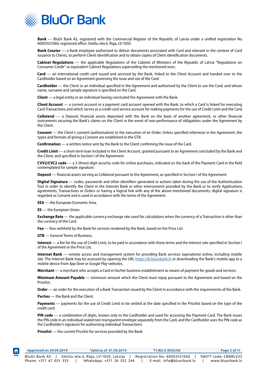

**Bank** — BluOr Bank AS, registered with the Commercial Register of the Republic of Latvia under a unified registration No. 40003551060, registered office: Smilšu iela 6, Rīga, LV-1050.

**Bank Courier** — a Bank employee authorised to deliver documents associated with Card and relevant in the context of Card issuance to Clients, to perform Client identification and to obtain copies of Client identification documents.

**Cabinet Regulations** — the applicable Regulations of the Cabinet of Ministers of the Republic of Latvia "Regulations on Consumer Credit" or equivalent Cabinet Regulations superseding the mentioned ones.

**Card** — an international credit card issued and serviced by the Bank, linked to the Client Account and handed over to the Cardholder based on an Agreement governing the issue and use of the Card.

**Cardholder** — the Client or an individual specified in the Agreement and authorised by the Client to use the Card, and whose name, surname and sample signature is specified on the Card.

**Client** — a legal entity or an individual having concluded the Agreement with the Bank.

**Client Account** — a current account or a payment card account opened with the Bank, to which a Card is linked for executing Card Transactions and which serves as a credit card service account for making payments for the use of Credit Limit and the Card.

**Collateral** — a Deposit, financial assets deposited with the Bank on the basis of another agreement, or other financial instruments securing the Bank's claims on the Client in the event of non-performance of obligations under the Agreement by the Client.

**Consent** — the Client's consent (authorisation) to the execution of an Order. Unless specified otherwise in the Agreement, the types and formats of giving a Consent are established in the GTB.

**Confirmation** — a written notice sent by the Bank to the Client confirming the issue of the Card.

**Credit Limit** — a short-term loan included in the Client Account, granted pursuant to an Agreement concluded by the Bank and the Client, and specified in Section I of the Agreement.

**CVV2/CVC2 code** — a 3 (three) digit security code for online purchases, indicated on the back of the Payment Card in the field contemplated for sample signature.

**Deposit** — financial assets serving as Collateral pursuant to the Agreement, as specified in Section I of the Agreement.

**Digital Signature** — codes, passwords and other identifiers generated or actions taken during the use of the Authentication Tool in order to identify the Client in the Internet Bank or other environment provided by the Bank or to verify Applications, agreements, Transactions or Orders or having a logical link with any of the above-mentioned documents; digital signature is regarded as Consent and is used in accordance with the terms of the Agreement.

**EEA** — the European Economic Area.

**ES** — the European Union.

**Exchange Rate** — the applicable currency exchange rate used for calculations when the currency of a Transaction is other than the currency of the Card.

**Fee** — fees withheld by the Bank for services rendered by the Bank, based on the Price List.

**GTB** — General Terms of Business.

**Interest** — a fee for the use of Credit Limit, to be paid in accordance with these terms and the interest rate specified in Section I of the Agreement or the Price List.

**Internet Bank** — remote access and management system for providing Bank services (operations) online, including mobile site. The Internet Bank may be accessed by opening the URL https://ib.bluorbank.ly or downloading the Bank's mobile app to a mobile device from *App Store* or *Google Play* websites.

**Merchant** — a merchant who accepts a Card in his/her business establishment as means of payment for goods and services.

**Minimum Amount Payable** — minimum amount which the Client must repay pursuant to the Agreement and based on the **Pricelist** 

**Order** — an order for the execution of a Bank Transaction issued by the Client in accordance with the requirements of the Bank.

**Parties** — the Bank and the Client.

**Payments** — payments for the use of Credit Limit to be settled at the date specified in the Pricelist based on the type of the credit card.

**PIN code** — a combination of digits, known only to the Cardholder and used for accessing the Payment Card. The Bank issues the PIN code in an individual sealed non-transparent envelope separately from the Card, and the Cardholder uses the PIN code as the Cardholder's signature for authorising individual Transactions.

**Pricelist** — the current Pricelist for services provided by the Bank.

| Approved on 29.04.2019 | Valid as of 01.05.2019                | T1/B2.3-3052/02              | Page 2 of 11         |
|------------------------|---------------------------------------|------------------------------|----------------------|
| BluOr Bank AS          | Smilšu iela 6, Rīga, LV-1050, Latvija | Registration No. 40003551060 | SWIFT code: CBBRLV22 |
| Phone: +371 67 031 333 | WhatsApp: +371 26 552 244             | E-mail: info@bluorbank.lv    | www.bluorbank.lv     |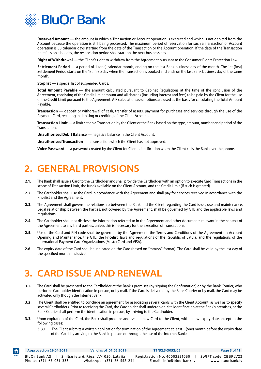<span id="page-3-0"></span>

**Reserved Amount** — the amount in which a Transaction or Account operation is executed and which is not debited from the Account because the operation is still being processed. The maximum period of reservation for such a Transaction or Account operation is 30 calendar days starting from the date of the Transaction or the Account operation. If the date of the Transaction date falls on a holiday, the reservation period shall start on the next business day.

**Right of Withdrawal** — the Client's right to withdraw from the Agreement pursuant to the Consumer Rights Protection Law.

**Settlement Period** — a period of 1 (one) calendar month, ending on the last Bank business day of the month. The 1st (first) Settlement Period starts on the 1st (first) day when the Transaction is booked and ends on the last Bank business day of the same month.

**Stoplist** — a special list of suspended Cards.

**Total Amount Payable** — the amount calculated pursuant to Cabinet Regulations at the time of the conclusion of the Agreement, consisting of the Credit Limit amount and all charges (including interest and fees) to be paid by the Client for the use of the Credit Limit pursuant to the Agreement. AIR calculation assumptions are used as the basis for calculating the Total Amount Payable.

**Transaction** — deposit or withdrawal of cash, transfer of assets, payment for purchases and services through the use of the Payment Card, resulting in debiting or crediting of the Client Account.

**Transaction Limit** — a limit set on a Transaction by the Client or the Bank based on the type, amount, number and period of the Transaction.

**Unauthorised Debit Balance** — negative balance in the Client Account.

**Unauthorised Transaction** — a transaction which the Client has not approved.

**Voice Password** — a password created by the Client for Client identification when the Client calls the Bank over the phone.

#### **2. GENERAL PROVISIONS**

- **2.1.** The Bank shall issue a Card to the Cardholder and shall provide the Cardholder with an option to execute Card Transactions in the scope of Transaction Limit, the funds available on the Client Account, and the Credit Limit (if such is granted).
- **2.2.** The Cardholder shall use the Card in accordance with the Agreement and shall pay for services received in accordance with the Pricelist and the Agreement.
- **2.3.** The Agreement shall govern the relationship between the Bank and the Client regarding the Card issue, use and maintenance. Legal relationship between the Parties, not covered by the Agreement, shall be governed by GTB and the applicable laws and regulations.
- **2.4.** The Cardholder shall not disclose the information referred to in the Agreement and other documents relevant in the context of the Agreement to any third parties, unless this is necessary for the execution of Transactions.
- **2.5.** Use of the Card and PIN code shall be governed by the Agreement, the Terms and Conditions of the Agreement on Account Opening and Maintenance, the GTB, the Pricelist, laws and regulations of the Republic of Latvia, and the regulations of the International Payment Card Organizations (MasterCard and VISA).
- **2.6.** The expiry date of the Card shall be indicated on the Card (based on "mm/yy" format). The Card shall be valid by the last day of the specified month (inclusive).

# **3. CARD ISSUE AND RENEWAL**

- **3.1.** The Card shall be presented to the Cardholder at the Bank's premises (by signing the Confirmation) or by the Bank Courier, who performs Cardholder identification in person, or by mail. If the Card is delivered by the Bank Courier or by mail, the Card may be activated only though the Internet Bank.
- **3.2.** The Client shall be entitled to conclude an agreement for associating several cards with the Client Account, as well as to specify several Cardholders. Prior to receiving the Card, the Cardholder shall undergo on-site identification at the Bank's premises, or the Bank Courier shall perform the identification in person, by arriving to the Cardholder.
- **3.3.** Upon expiration of the Card, the Bank shall produce and issue a new Card to the Client, with a new expiry date, except in the following cases:
	- **3.3.1.** The Client submits a written application for termination of the Agreement at least 1 (one) month before the expiry date of the Card, by arriving to the Bank in person or through the use of the Internet Bank;

| $\vert \bm{f} \vert$ | Approved on 29.04.2019                         |                                       | Valid as of 01.05.2019    |  | T1/B2.3-3052/02                                           |  | Page 3 of 11                             |  |
|----------------------|------------------------------------------------|---------------------------------------|---------------------------|--|-----------------------------------------------------------|--|------------------------------------------|--|
| <b>HOME</b>          | <b>BluOr Bank AS</b><br>Phone: +371 67 031 333 | Smilšu iela 6, Rīga, LV-1050, Latvija | WhatsApp: +371 26 552 244 |  | Registration No. 40003551060<br>E-mail: info@bluorbank.lv |  | SWIFT code: CBBRLV22<br>www.bluorbank.lv |  |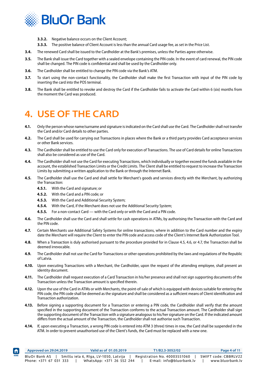<span id="page-4-0"></span>

- **3.3.2.** Negative balance occurs on the Client Account;
- **3.3.3.** The positive balance of Client Account is less than the annual Card usage fee, as set in the Price List.
- **3.4.** The renewed Card shall be issued to the Cardholder at the Bank's premises, unless the Parties agree otherwise.
- **3.5.** The Bank shall issue the Card together with a sealed envelope containing the PIN code. In the event of card renewal, the PIN code shall be changed. The PIN code is confidential and shall be used by the Cardholder only.
- **3.6.** The Cardholder shall be entitled to change the PIN code via the Bank's ATM.
- **3.7.** To start using the non-contact functionality, the Cardholder shall make the first Transaction with input of the PIN code by inserting the card into the POS terminal.
- **3.8.** The Bank shall be entitled to revoke and destroy the Card if the Cardholder fails to activate the Card within 6 (six) months from the moment the Card was produced.

### **4. USE OF THE CARD**

- **4.1.** Only the person whose name/surname and signature is indicated on the Card shall use the Card. The Cardholder shall not transfer the Card and/or Card details to other parties.
- **4.2.** The Card shall be used for carrying out Transactions in places where the Bank or a third party provides Card acceptance services or other Bank services.
- **4.3.** The Cardholder shall be entitled to use the Card only for execution of Transactions. The use of Card details for online Transactions shall also be considered as use of the Card.
- **4.4.** The Cardholder shall not use the Card for executing Transactions, which individually or together exceed the funds available in the account, the established Transaction Limits or the Credit Limits. The Client shall be entitled to request to increase the Transaction Limits by submitting a written application to the Bank or through the Internet Bank.
- **4.5.** The Cardholder shall use the Card and shall settle for Merchant's goods and services directly with the Merchant, by authorizing the Transaction:
	- **4.5.1.** With the Card and signature; or
	- **4.5.2.** With the Card and a PIN code; or
	- **4.5.3.** With the Card and Additional Security System;
	- **4.5.4.** With the Card, if the Merchant does not use the Additional Security System;
	- **4.5.5.** For a non-contact Card with the Card only or with the Card and a PIN code.
- **4.6.** The Cardholder shall use the Card and shall settle for cash operations in ATMs, by authorising the Transaction with the Card and the PIN code.
- **4.7.** Certain Merchants use Additional Safety Systems for online transactions, where in addition to the Card number and the expiry date the Merchant will require the Client to enter the PIN code and access code of the Client's Internet Bank Authorization Tool.
- **4.8.** When a Transaction is duly authorised pursuant to the procedure provided for in Clause 4.5, 4.6, or 4.7, the Transaction shall be deemed irrevocable.
- **4.9.** The Cardholder shall not use the Card for Transactions or other operations prohibited by the laws and regulations of the Republic of Latvia.
- **4.10.** Upon executing Transactions with a Merchant, the Cardholder, upon the request of the attending employee, shall present an identity document.
- **4.11.** The Cardholder shall request execution of a Card Transaction in his/her presence and shall not sign supporting documents of the Transaction unless the Transaction amount is specified therein.
- **4.12.** Upon the use of the Card in ATMs or with Merchants, the point-of-sale of which is equipped with devices suitable for entering the PIN code, the PIN code shall be deemed as the signature and shall be considered as a sufficient means of Client identification and Transaction authorization.
- **4.13.** Before signing a supporting document for a Transaction or entering a PIN code, the Cardholder shall verify that the amount specified in the supporting document of the Transaction conforms to the actual Transaction amount. The Cardholder shall sign the supporting document of the Transaction with a signature analogous to his/her signature on the Card. If the indicated amount differs from the actual amount of the Transaction, the Cardholder shall not authorise such Transaction.
- **4.14.** If, upon executing a Transaction, a wrong PIN code is entered into ATM 3 (three) times in row, the Card shall be suspended in the ATM. In order to prevent unauthorised use of the Client's funds, the Card must be replaced with a new one.

|      | Approved on 29.04.2019 | Valid as of 01.05.2019                | T1/B2.3-3052/02              | Page 4 of 11         |
|------|------------------------|---------------------------------------|------------------------------|----------------------|
| HOME | BluOr Bank AS          | Smilšu iela 6, Rīga, LV-1050, Latvija | Registration No. 40003551060 | SWIFT code: CBBRLV22 |
|      | Phone: +371 67 031 333 | WhatsApp: +371 26 552 244             | E-mail: info@bluorbank.lv    | www.bluorbank.lv     |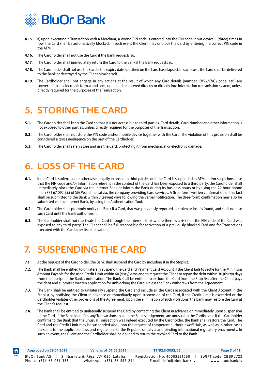<span id="page-5-0"></span>

- **4.15.** If, upon executing a Transaction with a Merchant, a wrong PIN code is entered into the PIN code input device 3 (three) times in row, the Card shall be automatically blocked. In such event the Client may unblock the Card by entering the correct PIN code in the ATM.
- **4.16.** The Cardholder shall not use the Card if the Bank requests so.
- **4.17.** The Cardholder shall immediately return the Card to the Bank if the Bank requests so.
- **4.18.** The Cardholder shall not use the Card if the expiry date specified on the Card has elapsed. In such case, the Card shall be delivered to the Bank or destroyed by the Client him/herself.
- **4.19.** The Cardholder shall not engage in any actions at the result of which any Card details (number, CVV2/CVC2 code, etc.) are converted to an electronic format and sent, uploaded or entered directly or directly into information transmission system, unless directly required for the purposes of the Transaction.

### **5. STORING THE CARD**

- **5.1.** The Cardholder shall keep the Card so that it is not accessible to third parties, Card details, Card Number and other information is not exposed to other parties, unless directly required for the purposes of the Transaction.
- **5.2.** The Cardholder shall not store the PIN code and/or mobile device together with the Card. The violation of this provision shall be considered a gross negligence on the part of the Cardholder.
- **5.3.** The Cardholder shall safely store and use the Card, protecting it from mechanical or electronic damage.

## **6. LOSS OF THE CARD**

- **6.1.** If the Card is stolen, lost or otherwise illegally exposed to third parties or if the Card is suspended in ATM and/or suspicions arise that the PIN code and/or information relevant in the context of the Card has been exposed to a third party, the Cardholder shall immediately block the Card via the Internet Bank or inform the Bank during its business hours or by using the 24-hour phone line +371 67 092 555 of SIA Worldline Latvia, the company providing Card services. A (free-form) written confirmation of this fact shall be submitted to the Bank within 7 (seven) days following the verbal notification. The (free-form) confirmation may also be submitted via the Internet Bank, by using the Authentication Tool.
- **6.2.** The Cardholder shall promptly notify the Bank if a Card, that was previously reported as stolen or lost, is found, and shall not use such Card until the Bank authorises it.
- **6.3.** The Cardholder shall not reactivate the Card through the Internet Bank where there is a risk that the PIN code of the Card was exposed to any third party. The Client shall be full responsible for activation of a previously blocked Card and for Transactions executed with the Card after its reactivation.

### **7. SUSPENDING THE CARD**

- **7.1.** At the request of the Cardholder, the Bank shall suspend the Card by including it in the Stoplist.
- **7.2.** The Bank shall be entitled to unilaterally suspend the Card and Payment Card Account if the Client fails to settle for the Minimum Amount Payable for the used Credit Limit within 60 (sixty) days and to request the Client to repay the debt within 30 (thirty) days from the receipt of the Bank's notification. The Bank shall be entitled to exclude the Card from the Stop-list after the Client pays the debt and submits a written application for unblocking the Card, unless the Bank withdraws from the Agreement.
- **7.3.** The Bank shall be entitled to unilaterally suspend the Card and include all the Cards associated with the Client Account in the Stoplist by notifying the Client in advance or immediately upon suspension of the Card, if the Credit Limit is exceeded or the Cardholder violates other provisions of the Agreement. Upon the elimination of such violations, the Bank may restore the Card at the Client's request.
- **7.4.** The Bank shall be entitled to unilaterally suspend the Card by contacting the Client in advance or immediately upon suspension of the Card, if the Bank identifies any Transactions that, in the Bank's judgement, are unusual to the Cardholder. If the Cardholder confirms to the Bank that the unusual Transaction was indeed executed by the Cardholder, the Bank shall restore the Card. The Card and the Credit Limit may be suspended also upon the request of competent authorities/officials, as well as in other cases pursuant to the applicable laws and regulations of the Republic of Latvia and binding international regulatory enactments. In such an event, the Client and the Cardholder shall be obliged to return the revoked Card to the Bank.

| Approved on 29.04.2019 | Valid as of 01.05.2019                |  | T1/B2.3-3052/02              | Page 5 of 11        |
|------------------------|---------------------------------------|--|------------------------------|---------------------|
| BluOr Bank AS          | Smilšu iela 6, Rīga, LV-1050, Latvija |  | Registration No. 40003551060 | SWIFT code: CBBRLV2 |
| Phone: +371 67 031 333 | WhatsApp: +371 26 552 244             |  | E-mail: info@bluorbank.lv    | www.bluorbank.l     |

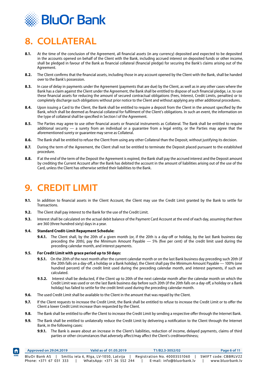<span id="page-6-0"></span>

# **8. COLLATERAL**

- **8.1.** At the time of the conclusion of the Agreement, all financial assets (in any currency) deposited and expected to be deposited in the accounts opened on behalf of the Client with the Bank, including accrued interest on deposited funds or other income, shall be pledged in favour of the Bank as financial collateral (financial pledge) for securing the Bank's claims arising out of the Agreement.
- **8.2.** The Client confirms that the financial assets, including those in any account opened by the Client with the Bank, shall be handed over to the Bank's possession.
- **8.3.** In case of delay in payments under the Agreement (payments that are due) by the Client, as well as in any other cases where the Bank has a claim against the Client under the Agreement, the Bank shall be entitled to dispose of such financial pledge, i.e. to use these financial assets for reducing the amount of secured contractual obligations (Fees, Interest, Credit Limits, penalties) or to completely discharge such obligations without prior notice to the Client and without applying any other additional procedures.
- **8.4.** Upon issuing a Card to the Client, the Bank shall be entitled to require a deposit from the Client in the amount specified by the Bank, which shall be deemed as financial collateral for fulfilment of the Client's obligations. In such an event, the information on the type of collateral shall be specified in Section I of the Agreement.
- **8.5.** The Parties may agree to use other financial assets or financial instruments as Collateral. The Bank shall be entitled to require additional security — a surety from an individual or a guarantee from a legal entity, or the Parties may agree that the aforementioned surety or guarantee may serve as Collateral.
- **8.6.** The Bank shall be entitled to refuse the Client from using any other Collateral than the Deposit, without justifying its decision.
- **8.7.** During the term of the Agreement, the Client shall not be entitled to terminate the Deposit placed pursuant to the established procedure.
- **8.8.** If at the end of the term of the Deposit the Agreement is expired, the Bank shall pay the accrued interest and the Deposit amount by crediting the Current Account after the Bank has debited the account in the amount of liabilities arising out of the use of the Card, unless the Client has otherwise settled their liabilities to the Bank.

#### **9. CREDIT LIMIT**

- **9.1.** In addition to financial assets in the Client Account, the Client may use the Credit Limit granted by the Bank to settle for **Transactions**
- **9.2.** The Client shall pay interest to the Bank for the use of the Credit Limit.
- **9.3.** Interest shall be calculated on the actual debit balance of the Payment Card Account at the end of each day, assuming that there are 360 (three hundred sixty) days in a year.
- **9.4. Standard Credit-Limit Repayment Schedule:**
	- **9.4.1.** The Client shall, by the 20th of a given month (or, if the 20th is a day-off or holiday, by the last Bank business day preceding the 20th), pay the Minimum Amount Payable — 5% (five per cent) of the credit limit used during the preceding calendar month, and interest payments.

#### **9.5. For Credit Limit with grace period up to 50 days:**

- **9.5.1.** On the 20th of the next month after the current calendar month or on the last Bank business day preceding such 20th (if the 20th falls on a day-off, a holiday or a Bank holiday), the Client shall pay the Minimum Amount Payable — 100% (one hundred percent) of the credit limit used during the preceding calendar month, and interest payments, if such are calculated.
- **9.5.2.** Interest shall be deducted, if the Client up to 20th of the next calendar month after the calendar month on which the Credit Limit was used or on the last Bank business day before such 20th (if the 20th falls on a day-off, a holiday or a Bank holiday) has failed to settle for the credit limit used during the preceding calendar month.
- **9.6.** The used Credit Limit shall be available to the Client in the amount that was repaid by the Client.
- **9.7.** If the Client requests to increase the Credit Limit, the Bank shall be entitled to refuse to increase the Credit Limit or to offer the Client a lower Credit Limit increase than requested by the Client.
- **9.8.** The Bank shall be entitled to offer the Client to increase the Credit Limit by sending a respective offer through the Internet Bank.
- **9.9.** The Bank shall be entitled to unilaterally reduce the Credit Limit by delivering a notification to the Client through the Internet Bank, in the following cases:
	- **9.9.1.** The Bank is aware about an increase in the Client's liabilities, reduction of income, delayed payments, claims of third parties or other circumstances that adversely affect/may affect the Client's creditworthiness;

|             | Approved on 29.04.2019                  | Valid as of 01.05.2019                                             | T1/B2.3-3052/02                                           | Page 6 of 11                             |
|-------------|-----------------------------------------|--------------------------------------------------------------------|-----------------------------------------------------------|------------------------------------------|
| <b>HOME</b> | BluOr Bank AS<br>Phone: +371 67 031 333 | Smilšu iela 6, Rīga, LV-1050, Latvija<br>WhatsApp: +371 26 552 244 | Registration No. 40003551060<br>E-mail: info@bluorbank.lv | SWIFT code: CBBRLV22<br>www.bluorbank.lv |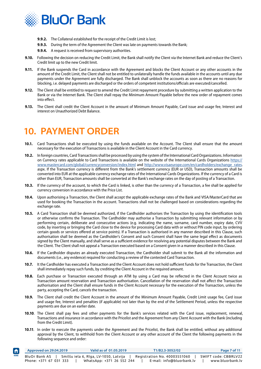<span id="page-7-0"></span>

- **9.9.2.** The Collateral established for the receipt of the Credit Limit is lost;
- **9.9.3.** During the term of the Agreement the Client was late on payments towards the Bank;
	- **9.9.4.** A request is received from supervisory authorities.
- **9.10.** Following the decision on reducing the Credit Limit, the Bank shall notify the Client via the Internet Bank and reduce the Client's Credit limit up to the new Credit limit.
- **9.11.** If the Bank suspends the Card in accordance with the Agreement and blocks the Client Account or any other accounts in the amount of the Credit Limit, the Client shall not be entitled to unilaterally handle the funds available in the accounts until any due payments under the Agreement are fully discharged. The Bank shall unblock the accounts as soon as there are no reasons for blocking, i.e. delayed payments are discharged or the orders of competent institutions/officials are executed/cancelled.
- **9.12.** The Client shall be entitled to request to amend the Credit Limit repayment procedure by submitting a written application to the Bank or via the Internet Bank. The Client shall repay the Minimum Amount Payable before the new order of repayment comes into effect.
- **9.13.** The Client shall credit the Client Account in the amount of Minimum Amount Payable, Card issue and usage fee, Interest and interest on Unauthorized Debt Balance.

### **10. PAYMENT ORDER**

 $\hat{\mathsf{n}}$ 

- **10.1.** Card Transactions shall be executed by using the funds available on the Account. The Client shall ensure that the amount necessary for the execution of Transactions is available in the Client Account in the Card currency.
- **10.2.** In foreign countries, Card Transactions shall be processed by using the system of the International Card Organizations. Information on Currency rates applicable to Card Transactions is available on the website of the International Cards Organizations [https://](https://www.mastercard.us/en-us/consumers/get-support/convert-currency.html) [www.mastercard.com/global/currencyconversion/index.html](https://www.mastercard.us/en-us/consumers/get-support/convert-currency.html) and [http://www.visaeurope.com/en/cardholders/exchange\\_rates.](https://www.visaeurope.com/error?aspxerrorpath=/en/cardholders/exchange_rates.aspx) aspx. If the Transaction currency is different from the Bank's settlement currency (EUR or USD), Transaction amounts shall be converted into EUR at the applicable currency exchange rates of the International Cards Organizations. If the currency of a Card is other than EUR, Transaction amounts shall be converted at the Bank's exchange rates on the day of posting of a Transaction.
- **10.3.** If the currency of the account, to which the Card is linked, is other than the currency of a Transaction, a fee shall be applied for currency conversion in accordance with the Price List.
- **10.4.** Upon authorising a Transaction, the Client shall accept the applicable exchange rates of the Bank and VISA/MasterCard that are used for booking the Transaction in the account. Transactions shall not be challenged based on considerations regarding the exchange rate.
- **10.5.** A Card Transaction shall be deemed authorized, if the Cardholder authorises the Transaction by using the identification tools or otherwise confirms the Transaction. The Cardholder may authorise a Transaction by submitting relevant information or by performing certain, deliberate and consecutive actions (e.g. indicating the name, surname, card number, expiry date, CVV code, by inserting or bringing the Card close to the device for processing Card data with or without PIN code input, by ordering certain goods or services offered at service points). If a Transaction is authorised in any manner described in this Clause, such authorisation shall be deemed as the Cardholder's Consent and such Consent shall have the same legal effect as documents signed by the Client manually, and shall serve as a sufficient evidence for resolving any potential disputes between the Bank and the Client. The Client shall not appeal a Transaction executed based on a Consent given in a manner described in this Clause.
- **10.6.** If the Cardholder disputes an already executed Transaction, the Cardholder shall submit to the Bank all the information and documents (i.e., any evidence) required for conducting a review of the contested Card Transaction.
- **10.7.** It the Cardholder has executed a Transaction and the Client Account does not hold sufficient funds for the Transaction, the Client shall immediately repay such funds, by crediting the Client Account in the required amount.
- **10.8.** Each purchase or Transaction executed through an ATM by using a Card may be reflected in the Client Account twice as Transaction amount reservation and Transaction authorisation. Cancellation of the reservation shall not affect the Transaction authorisation and the Client shall ensure funds in the Client Account necessary for the execution of the Transaction, unless the party, accepting the Card, cancels the transaction.
- **10.9.** The Client shall credit the Client Account in the amount of the Minimum Amount Payable, Credit Limit usage fee, Card issue and usage fee, Interest and penalties (if applicable) not later than by the end of the Settlement Period, unless the respective payments are due on an earlier date.
- **10.10**. The Client shall pay fees and other payments for the Bank's services related with the Card issue, replacement, renewal, Transactions and insurance in accordance with the Pricelist and the Agreement from any Client Account with the Bank (including from the Credit Limit).
- **10.11**. In order to execute the payments under the Agreement and the Pricelist, the Bank shall be entitled, without any additional approval by the Client, to withhold from the Client Account or any other account of the Client the following payments in the following sequence and order:

|      | Approved on 29.04.2019                  | Valid as of 01.05.2019                                             |  | T1/B2.3-3052/02                                           | Page 7 of 11                             |
|------|-----------------------------------------|--------------------------------------------------------------------|--|-----------------------------------------------------------|------------------------------------------|
| HOME | BluOr Bank AS<br>Phone: +371 67 031 333 | Smilšu iela 6, Rīga, LV-1050, Latvija<br>WhatsApp: +371 26 552 244 |  | Registration No. 40003551060<br>E-mail: info@bluorbank.lv | SWIFT code: CBBRLV22<br>www.bluorbank.lv |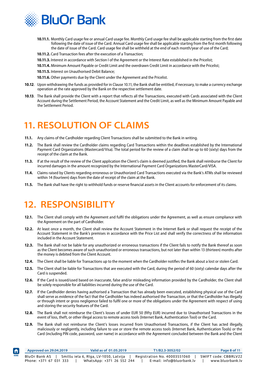<span id="page-8-0"></span>

- **10.11.1.** Monthly Card usage fee or annual Card usage fee. Monthly Card usage fee shall be applicable starting from the first date following the date of issue of the Card. Annual Card usage fee shall be applicable starting from the first month following the date of issue of the Card. Card usage fee shall be withheld at the end of each month/year of use of the Card;
- **10.11.2.** Card Transaction fees after the execution of a Transaction;
- **10.11.3.** Interest in accordance with Section I of the Agreement or the Interest Rate established in the Pricelist;
- **10.11.4.** Minimum Amount Payable or Credit Limit and the overdrawn Credit Limit in accordance with the Pricelist;
- **10.11.5.** Interest on Unauthorised Debit Balance;
- **10.11.6.** Other payments due by the Client under the Agreement and the Pricelist.
- **10.12**. Upon withdrawing the funds as provided for in Clause 10.11, the Bank shall be entitled, if necessary, to make a currency exchange operation at the rate approved by the Bank on the respective settlement date.
- **10.13**. The Bank shall provide the Client with a report that reflects all the Transactions, executed with Cards associated with the Client Account during the Settlement Period, the Account Statement and the Credit Limit, as well as the Minimum Amount Payable and the Settlement Period.

# **11. RESOLUTION OF CLAIMS**

- **11.1.** Any claims of the Cardholder regarding Client Transactions shall be submitted to the Bank in writing.
- **11.2.** The Bank shall review the Cardholder claims regarding Card Transactions within the deadlines established by the International Payment Card Organizations (Mastercard/Visa). The total period for the review of a claim shall be up to 60 (sixty) days from the receipt of the claim at the Bank.
- **11.3.** If at the result of the review of the Client application the Client's claim is deemed justified, the Bank shall reimburse the Client for incurred damages in the amount recognized by the International Payment Card Organizations MasterCard/VISA.
- **11.4.** Claims raised by Clients regarding erroneous or Unauthorized Card Transactions executed via the Bank's ATMs shall be reviewed within 14 (fourteen) days from the date of receipt of the claim at the Bank.
- **11.5.** The Bank shall have the right to withhold funds or reserve financial assets in the Client accounts for enforcement of its claims.

#### **12. RESPONSIBILITY**

- **12.1.** The Client shall comply with the Agreement and fulfil the obligations under the Agreement, as well as ensure compliance with the Agreement on the part of Cardholder.
- **12.2.** At least once a month, the Client shall review the Account Statement in the Internet Bank or shall request the receipt of the Account Statement in the Bank's premises in accordance with the Price List and shall verify the correctness of the information included in the Account Statement.
- **12.3.** The Bank shall not be liable for any unauthorized or erroneous transactions if the Client fails to notify the Bank thereof as soon as the Client becomes aware of such unauthorized or erroneous transactions, but not later than within 13 (thirteen) months after the money is debited from the Client Account.
- **12.4.** The Client shall be liable for Transactions up to the moment when the Cardholder notifies the Bank about a lost or stolen Card.
- **12.5.** The Client shall be liable for Transactions that are executed with the Card, during the period of 60 (sixty) calendar days after the Card is suspended.
- **12.6.** If the Card is issued/used based on inaccurate, false and/or misleading information provided by the Cardholder, the Client shall be solely responsible for all liabilities incurred during the use of the Card.
- **12.7.** If the Cardholder denies having authorised a Transaction that has already been executed, establishing physical use of the Card shall serve as evidence of the fact that the Cardholder has indeed authorised the Transaction, or that the Cardholder has illegally or through intent or gross negligence failed to fulfil one or more of the obligations under the Agreement with respect of using and storing the security features of the Card.
- **12.8.** The Bank shall not reimburse the Client's losses of under EUR 50 (fifty EUR) incurred due to Unauthorised Transactions in the event of loss, theft, or other illegal access to remote access tools (Internet Bank, Authentication Tool) or the Card.
- **12.9.** The Bank shall not reimburse the Client's losses incurred from Unauthorised Transactions, if the Client has acted illegally, maliciously or negligently, including failure to use or store the remote access tools (Internet Bank, Authentication Tools) or the Card (including PIN code, password, user name) in accordance with the Agreement concluded between the Bank and the Client

| $\biguparrow$ | Approved on 29.04.2019 | Valid as of 01.05.2019                | T1/B2.3-3052/02              | Page 8 of 11         |
|---------------|------------------------|---------------------------------------|------------------------------|----------------------|
| <b>HOME</b>   | BluOr Bank AS          | Smilšu iela 6, Rīga, LV-1050, Latvija | Registration No. 40003551060 | SWIFT code: CBBRLV22 |
|               | Phone: +371 67 031 333 | WhatsApp: +371 26 552 244             | E-mail: info@bluorbank.lv    | www.bluorbank.lv     |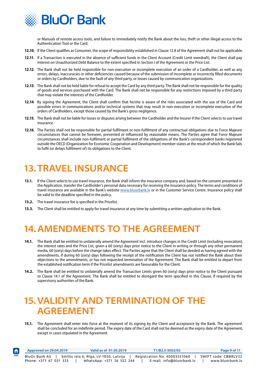<span id="page-9-0"></span>

or Manuals of remote access tools, and failure to immediately notify the Bank about the loss, theft or other illegal access to the Authentication Tool or the Card.

- **12.10**. If the Client qualifies as Consumer, the scope of responsibility established in Clause 12.8 of the Agreement shall not be applicable.
- **12.11**. If a Transaction is executed in the absence of sufficient funds in the Client Account (Credit Limit overdraft), the Client shall pay interest on Unauthorized Debt Balance to the extent specified in Section I of the Agreement or the Price List.
- **12.12**. The Bank shall not be held responsible for non-execution or incomplete execution of an order of a Cardholder, as well as any errors, delays, inaccuracies or other deficiencies caused because of the submission of incomplete or incorrectly filled documents or orders by Cardholders, due to the fault of any third party, or losses caused by communication organizations.
- **12.13**. The Bank shall not be held liable for refusal to accept the Card by any third party. The Bank shall not be responsible for the quality of goods and services purchased with the Card. The Bank shall not be responsible for any restrictions imposed by a third party that may violate the interests of the Cardholder.
- **12.14**. By signing the Agreement, the Client shall confirm that he/she is aware of the risks associated with the use of the Card and possible errors in communications and/or technical systems that may result in non-execution or incomplete execution of the orders of Cardholders, except those caused by the Bank's gross negligence.
- **12.15**. The Bank shall not be liable for losses or disputes arising between the Cardholder and the Insurer if the Client selects to use travel insurance.
- **12.16**. The Parties shall not be responsible for partial fulfilment or non-fulfilment of any contractual obligations due to Force Majeure circumstances that cannot be foreseen, prevented or influenced by reasonable means. The Parties agree that Force Majeure circumstances shall include non-fulfilment or partial fulfilment of the obligations of the Bank's correspondent banks registered outside the OECD (Organization for Economic Cooperation and Development) member-states at the result of which the Bank fails to fulfil (or delays fulfilment of) its obligations to the Client.

# **13.TRAVEL INSURANCE**

- **13.1.** If the Client selects to use travel insurance, the Bank shall inform the insurance company and, based on the consent presented in the Application, transfer the Cardholder's personal data necessary for receiving the insurance policy. The terms and conditions of travel insurance are available in the Bank's website www.bluorbank.ly or in the Customer Service Centre. Insurance policy shall be valid to the deadline specified in the policy.
- **13.2.** The travel insurance fee is specified in the Pricelist.
- **13.3.** The Client shall be entitled to apply for travel insurance at any time by submitting a written application to the Bank.

# **14.AMENDMENTS TO THE AGREEMENT**

- **14.1.** The Bank shall be entitled to unilaterally amend the Agreement incl. introduce changes in the Credit Limit (including revocation), the interest rates and the Price List, given a 60 (sixty) days prior notice to the Client in writing or through any other permanent media, 60 (sixty) days before the change takes effect. The Parties agree that the Client shall be deeded as having agreed with the amendments, if during 60 (sixty) days following the receipt of the notification the Client has not notified the Bank about their objections to the amendments, or has not requested termination of the Agreement. The Bank shall be entitled to depart from the established notification term if the Pricelist amendments are favourable for the Client.
- **14.2.** The Bank shall be entitled to unilaterally amend the Transaction Limits given 60 (sixty) days prior notice to the Client pursuant to Clause 14.1 of the Agreement. The Bank shall be entitled to disregard the term specified in this Clause, if required by the supervisory authorities of the Bank.

### **15.VALIDITY AND TERMINATION OF THE AGREEMENT**

**15.1.** The Agreement shall enter into force at the moment of its signing by the Client and acceptance by the Bank. The agreement shall be concluded for an indefinite period. The expiry date of the Card shall not be deemed as the expiry date of the Agreement, except in cases stipulated in the Agreement.

| $\biguparrow$ | Approved on 29.04.2019 | Valid as of 01.05.2019                | T1/B2.3-3052/02              | Page 9 of 11         |
|---------------|------------------------|---------------------------------------|------------------------------|----------------------|
| HOME          | BluOr Bank AS          | Smilšu iela 6, Rīga, LV-1050, Latvija | Registration No. 40003551060 | SWIFT code: CBBRLV22 |
|               | Phone: +371 67 031 333 | WhatsApp: +371 26 552 244             | E-mail: info@bluorbank.lv    | www.bluorbank.lv     |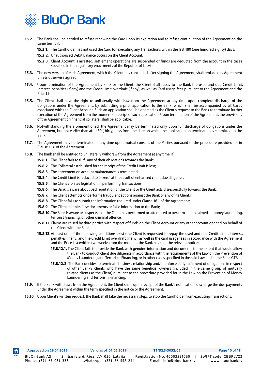

- **15.2.** The Bank shall be entitled to refuse renewing the Card upon its expiration and to refuse continuation of the Agreement on the same terms if:
	- **15.2.1**. The Cardholder has not used the Card for executing any Transactions within the last 180 (one hundred eighty) days;
	- **15.2.2**. Unauthorised Debit Balance occurs on the Client Account;
	- **15.2.3**. Client Account is arrested, settlement operations are suspended or funds are deducted from the account in the cases specified in the regulatory enactments of the Republic of Latvia.
- **15.3.** The new version of each Agreement, which the Client has concluded after signing the Agreement, shall replace this Agreement unless otherwise agreed.
- **15.4.** Upon termination of the Agreement by Bank or the Client, the Client shall repay to the Bank the used and due Credit Limit, Interest, penalties (if any) and the Credit Limit overdraft (if any), as well as Card usage fees pursuant to the Agreement and the Price List.
- **15.5.** The Client shall have the right to unilaterally withdraw from the Agreement at any time upon complete discharge of the obligations under the Agreement, by submitting a prior application to the Bank, which shall be accompanied by all Cards associated with the Client Account. Such an application shall be deemed as the Client's request to the Bank to terminate further execution of the Agreement from the moment of receipt of such application. Upon termination of the Agreement, the provisions of the Agreement on financial collateral shall be applicable.
- **15.6.** Notwithstanding the aforementioned, the Agreement may be terminated only upon full discharge of obligations under the Agreement, but not earlier than after 30 (thirty) days from the date on which the application on termination is submitted to the Bank.
- **15.7.** The Agreement may be terminated at any time upon mutual consent of the Parties pursuant to the procedure provided for in Clause 15.6 of the Agreement.
- **15.8.** The Bank shall be entitled to unilaterally withdraw from the Agreement at any time, if:
	- **15.8.1**. The Client fails to fulfil any of their obligations towards the Bank;
	- **15.8.2**. The Collateral established for the receipt of the Credit Limit is lost;
	- **15.8.3**. The agreement on account maintenance is terminated;
	- **15.8.4**. The Credit Limit is reduced to 0 (zero) at the result of enhanced client due diligence;
	- **15.8.5**. The Client violates legislation in performing Transactions;
	- **15.8.6**. The Bank is aware about bad reputation of the Client or the Client acts disrespectfully towards the Bank;
	- **15.8.7**. The Client attempts or performs fraudulent actions against the Bank or any of its Clients;
	- **15.8.8**. The Client fails to submit the information required under Clause 16.1 of the Agreement;
	- **15.8.9**. The Client submits false documents or false information to the Bank;
	- **15.8.10.**The Bank is aware or suspects that the Client has performed or attempted to perform actions aimed at money laundering, terrorist financing, or other criminal offence;
	- **15.8.11.** Claims are raised by third parties with respect of funds on the Client Account or any other account opened on behalf of the Client with the Bank;
	- **15.8.12.**At least one of the following conditions exist (the Client is requested to repay the used and due Credit Limit, Interest, penalties (if any) and the Credit Limit overdraft (if any), as well as the card usage fees in accordance with the Agreement and the Price List (within two weeks from the moment the Bank has sent the relevant notice):
		- **15.8.12.1.** The Client fails to provide the Bank with genuine information and documents to the extent that would allow the Bank to conduct client due diligence in accordance with the requirements of the Law on the Prevention of Money Laundering and Terrorism Financing, or in other cases specified in the said Law and in the Bank GTB;
		- **15.8.12.2.** The Bank decides to terminate business relationship and/or enforce early fulfilment of obligations in respect of other Bank's clients who have the same beneficial owners (included in the same group of mutually related clients as the Client) pursuant to the procedure provided for in the Law on the Prevention of Money Laundering and Terrorism Financing.
- **15.9.** If the Bank withdraws from the Agreement, the Client shall, upon receipt of the Bank's notification, discharge the due payments under the Agreement within the term specified in the notice or the Agreement.
- **15.10**. Upon Client's written request, the Bank shall take the necessary steps to stop the Cardholder from executing Transactions.